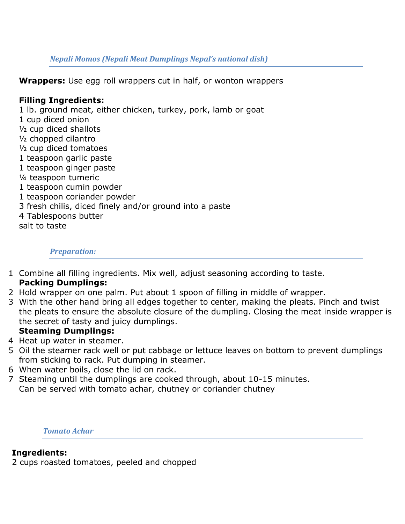## *Nepali Momos (Nepali Meat Dumplings Nepal's national dish)*

**Wrappers:** Use egg roll wrappers cut in half, or wonton wrappers

# **Filling Ingredients:**

1 lb. ground meat, either chicken, turkey, pork, lamb or goat 1 cup diced onion ½ cup diced shallots ½ chopped cilantro ½ cup diced tomatoes 1 teaspoon garlic paste 1 teaspoon ginger paste ¼ teaspoon tumeric 1 teaspoon cumin powder 1 teaspoon coriander powder 3 fresh chilis, diced finely and/or ground into a paste 4 Tablespoons butter salt to taste

# *Preparation:*

1 Combine all filling ingredients. Mix well, adjust seasoning according to taste.

# **Packing Dumplings:**

- 2 Hold wrapper on one palm. Put about 1 spoon of filling in middle of wrapper.
- 3 With the other hand bring all edges together to center, making the pleats. Pinch and twist the pleats to ensure the absolute closure of the dumpling. Closing the meat inside wrapper is the secret of tasty and juicy dumplings.

# **Steaming Dumplings:**

- 4 Heat up water in steamer.
- 5 Oil the steamer rack well or put cabbage or lettuce leaves on bottom to prevent dumplings from sticking to rack. Put dumping in steamer.
- 6 When water boils, close the lid on rack.
- 7 Steaming until the dumplings are cooked through, about 10-15 minutes. Can be served with tomato achar, chutney or coriander chutney

*Tomato Achar* 

# **Ingredients:**

2 cups roasted tomatoes, peeled and chopped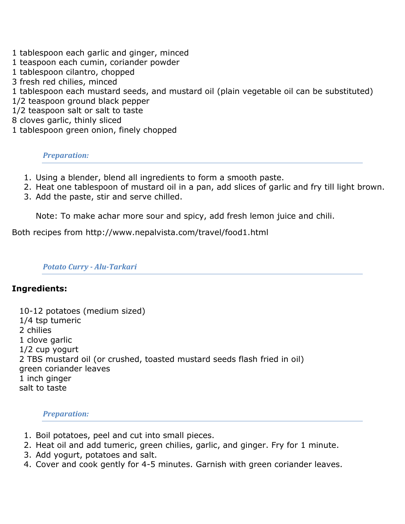- 1 tablespoon each garlic and ginger, minced
- 1 teaspoon each cumin, coriander powder
- 1 tablespoon cilantro, chopped
- 3 fresh red chilies, minced
- 1 tablespoon each mustard seeds, and mustard oil (plain vegetable oil can be substituted)
- 1/2 teaspoon ground black pepper
- 1/2 teaspoon salt or salt to taste
- 8 cloves garlic, thinly sliced
- 1 tablespoon green onion, finely chopped

## *Preparation:*

- 1. Using a blender, blend all ingredients to form a smooth paste.
- 2. Heat one tablespoon of mustard oil in a pan, add slices of garlic and fry till light brown.
- 3. Add the paste, stir and serve chilled.

Note: To make achar more sour and spicy, add fresh lemon juice and chili.

Both recipes from http://www.nepalvista.com/travel/food1.html

## *Potato Curry - Alu-Tarkari*

# **Ingredients:**

| 10-12 potatoes (medium sized)                                            |  |
|--------------------------------------------------------------------------|--|
| 1/4 tsp tumeric                                                          |  |
| 2 chilies                                                                |  |
| 1 clove garlic                                                           |  |
| $1/2$ cup yogurt                                                         |  |
| 2 TBS mustard oil (or crushed, toasted mustard seeds flash fried in oil) |  |
| green coriander leaves                                                   |  |
| 1 inch ginger                                                            |  |
| salt to taste                                                            |  |

*Preparation:*

- 1. Boil potatoes, peel and cut into small pieces.
- 2. Heat oil and add tumeric, green chilies, garlic, and ginger. Fry for 1 minute.
- 3. Add yogurt, potatoes and salt.
- 4. Cover and cook gently for 4-5 minutes. Garnish with green coriander leaves.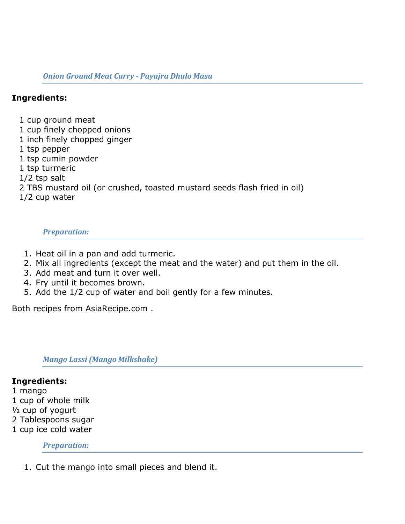## *Onion Ground Meat Curry - Payajra Dhulo Masu*

# **Ingredients:**

1 cup ground meat

- 1 cup finely chopped onions
- 1 inch finely chopped ginger
- 1 tsp pepper
- 1 tsp cumin powder
- 1 tsp turmeric
- 1/2 tsp salt
- 2 TBS mustard oil (or crushed, toasted mustard seeds flash fried in oil)
- 1/2 cup water

#### *Preparation:*

- 1. Heat oil in a pan and add turmeric.
- 2. Mix all ingredients (except the meat and the water) and put them in the oil.
- 3. Add meat and turn it over well.
- 4. Fry until it becomes brown.
- 5. Add the 1/2 cup of water and boil gently for a few minutes.

Both recipes from AsiaRecipe.com .

*Mango Lassi (Mango Milkshake)*

#### **Ingredients:**

1 mango 1 cup of whole milk ½ cup of yogurt 2 Tablespoons sugar 1 cup ice cold water

#### *Preparation:*

1. Cut the mango into small pieces and blend it.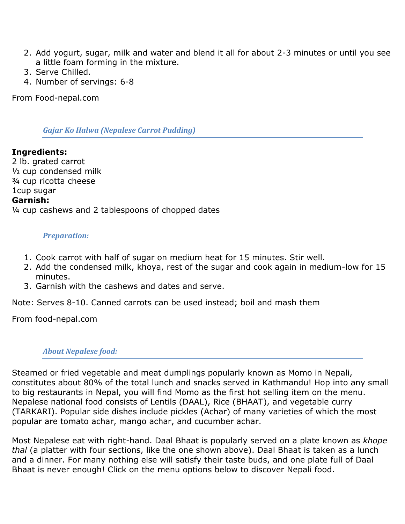- 2. Add yogurt, sugar, milk and water and blend it all for about 2-3 minutes or until you see a little foam forming in the mixture.
- 3. Serve Chilled.
- 4. Number of servings: 6-8

From Food-nepal.com

## *Gajar Ko Halwa (Nepalese Carrot Pudding)*

# **Ingredients:** 2 lb. grated carrot ½ cup condensed milk ¾ cup ricotta cheese 1cup sugar **Garnish:**

¼ cup cashews and 2 tablespoons of chopped dates

## *Preparation:*

- 1. Cook carrot with half of sugar on medium heat for 15 minutes. Stir well.
- 2. Add the condensed milk, khoya, rest of the sugar and cook again in medium-low for 15 minutes.
- 3. Garnish with the cashews and dates and serve.

Note: Serves 8-10. Canned carrots can be used instead; boil and mash them

From food-nepal.com

## *About Nepalese food:*

Steamed or fried vegetable and meat dumplings popularly known as Momo in Nepali, constitutes about 80% of the total lunch and snacks served in Kathmandu! Hop into any small to big restaurants in Nepal, you will find Momo as the first hot selling item on the menu. Nepalese national food consists of Lentils (DAAL), Rice (BHAAT), and vegetable curry (TARKARI). Popular side dishes include pickles (Achar) of many varieties of which the most popular are tomato achar, mango achar, and cucumber achar.

Most Nepalese eat with right-hand. Daal Bhaat is popularly served on a plate known as *khope thal* (a platter with four sections, like the one shown above). Daal Bhaat is taken as a lunch and a dinner. For many nothing else will satisfy their taste buds, and one plate full of Daal Bhaat is never enough! Click on the menu options below to discover Nepali food.